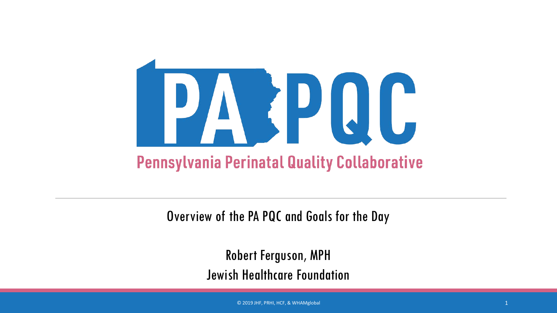

Overview of the PA PQC and Goals for the Day

Robert Ferguson, MPH Jewish Healthcare Foundation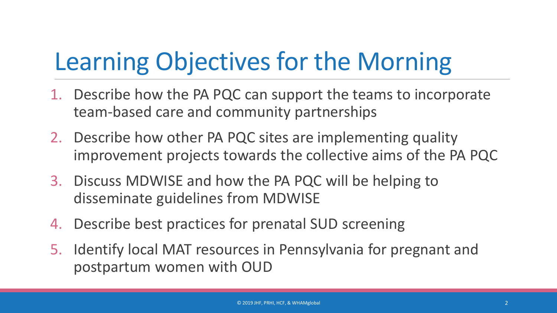## Learning Objectives for the Morning

- 1. Describe how the PA PQC can support the teams to incorporate team-based care and community partnerships
- 2. Describe how other PA PQC sites are implementing quality improvement projects towards the collective aims of the PA PQC
- 3. Discuss MDWISE and how the PA PQC will be helping to disseminate guidelines from MDWISE
- 4. Describe best practices for prenatal SUD screening
- 5. Identify local MAT resources in Pennsylvania for pregnant and postpartum women with OUD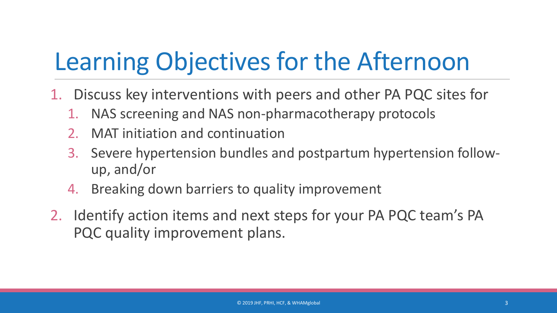#### Learning Objectives for the Afternoon

- 1. Discuss key interventions with peers and other PA PQC sites for
	- 1. NAS screening and NAS non-pharmacotherapy protocols
	- 2. MAT initiation and continuation
	- 3. Severe hypertension bundles and postpartum hypertension followup, and/or
	- 4. Breaking down barriers to quality improvement
- 2. Identify action items and next steps for your PA PQC team's PA PQC quality improvement plans.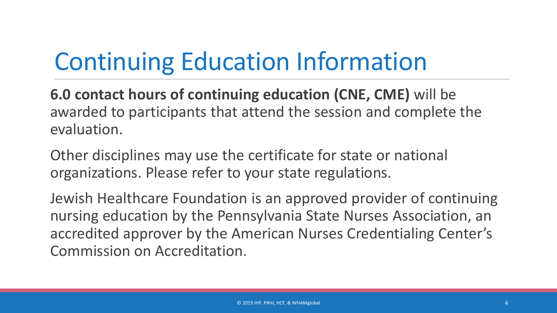### Continuing Education Information

**6.0 contact hours of continuing education (CNE, CME)** will be awarded to participants that attend the session and complete the evaluation.

Other disciplines may use the certificate for state or national organizations. Please refer to your state regulations.

Jewish Healthcare Foundation is an approved provider of continuing nursing education by the Pennsylvania State Nurses Association, an accredited approver by the American Nurses Credentialing Center's Commission on Accreditation.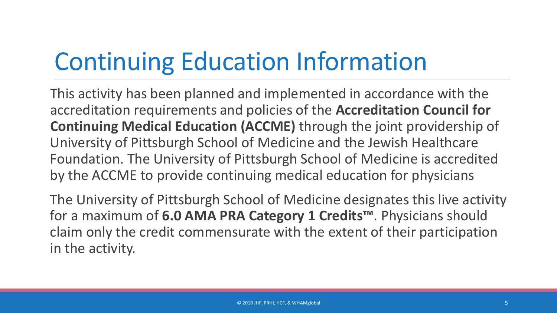### Continuing Education Information

This activity has been planned and implemented in accordance with the accreditation requirements and policies of the **Accreditation Council for Continuing Medical Education (ACCME)** through the joint providership of University of Pittsburgh School of Medicine and the Jewish Healthcare Foundation. The University of Pittsburgh School of Medicine is accredited by the ACCME to provide continuing medical education for physicians

The University of Pittsburgh School of Medicine designates this live activity for a maximum of **6.0 AMA PRA Category 1 Credits™**. Physicians should claim only the credit commensurate with the extent of their participation in the activity.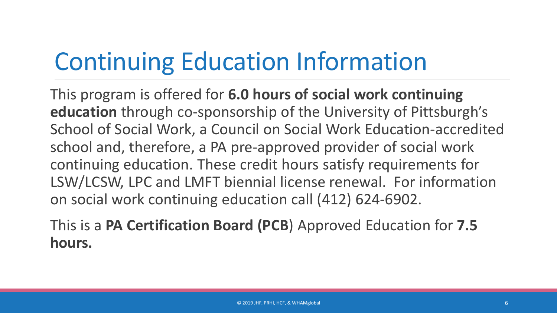### Continuing Education Information

This program is offered for **6.0 hours of social work continuing education** through co-sponsorship of the University of Pittsburgh's School of Social Work, a Council on Social Work Education-accredited school and, therefore, a PA pre-approved provider of social work continuing education. These credit hours satisfy requirements for LSW/LCSW, LPC and LMFT biennial license renewal. For information on social work continuing education call (412) 624-6902.

This is a **PA Certification Board (PCB**) Approved Education for **7.5 hours.**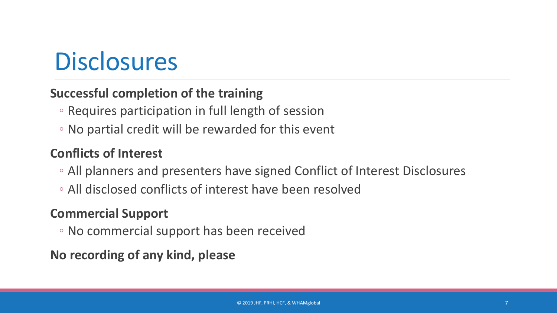#### **Disclosures**

#### **Successful completion of the training**

- Requires participation in full length of session
- No partial credit will be rewarded for this event

#### **Conflicts of Interest**

- All planners and presenters have signed Conflict of Interest Disclosures
- All disclosed conflicts of interest have been resolved

#### **Commercial Support**

◦ No commercial support has been received

**No recording of any kind, please**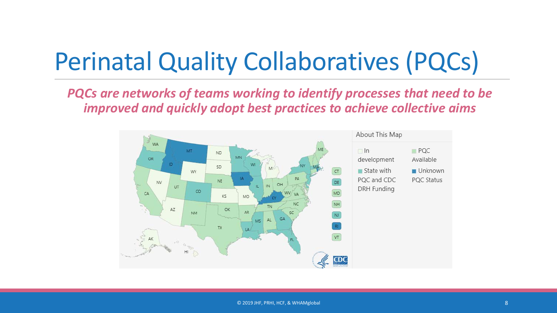### Perinatal Quality Collaboratives (PQCs)

*PQCs are networks of teams working to identify processes that need to be improved and quickly adopt best practices to achieve collective aims*

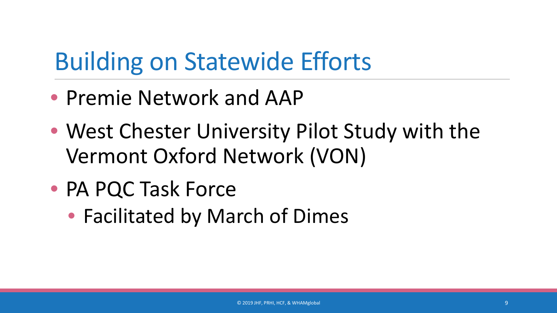#### Building on Statewide Efforts

- Premie Network and AAP
- West Chester University Pilot Study with the Vermont Oxford Network (VON)
- PA PQC Task Force
	- Facilitated by March of Dimes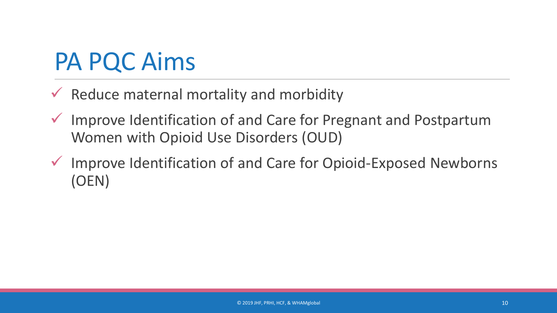#### PA PQC Aims

- $\checkmark$  Reduce maternal mortality and morbidity
- $\checkmark$  Improve Identification of and Care for Pregnant and Postpartum Women with Opioid Use Disorders (OUD)
- $\checkmark$  Improve Identification of and Care for Opioid-Exposed Newborns (OEN)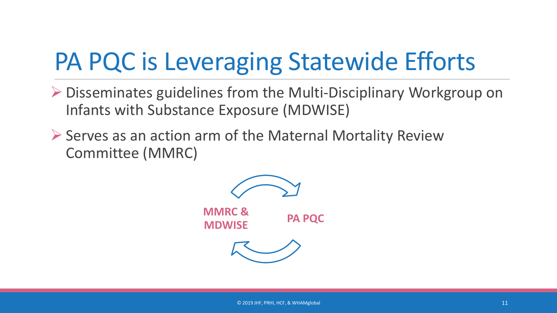### PA PQC is Leveraging Statewide Efforts

- ▶ Disseminates guidelines from the Multi-Disciplinary Workgroup on Infants with Substance Exposure (MDWISE)
- $\triangleright$  Serves as an action arm of the Maternal Mortality Review Committee (MMRC)

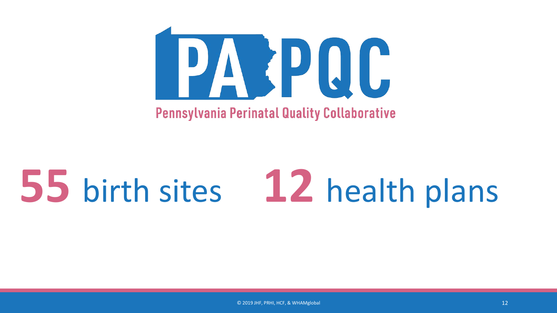

# **55** birth sites **12** health plans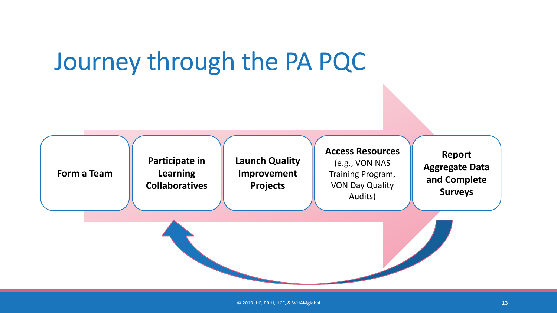#### Journey through the PA PQC

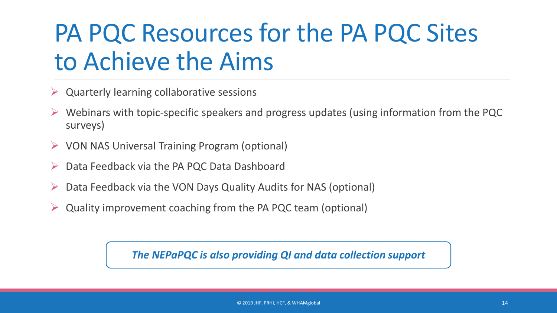#### PA PQC Resources for the PA PQC Sites to Achieve the Aims

- Quarterly learning collaborative sessions
- $\triangleright$  Webinars with topic-specific speakers and progress updates (using information from the PQC surveys)
- $\triangleright$  VON NAS Universal Training Program (optional)
- Data Feedback via the PA PQC Data Dashboard
- Data Feedback via the VON Days Quality Audits for NAS (optional)
- Quality improvement coaching from the PA PQC team (optional)

*The NEPaPQC is also providing QI and data collection support*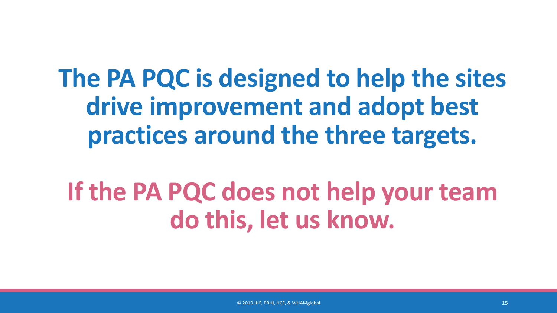**The PA PQC is designed to help the sites drive improvement and adopt best practices around the three targets.**

#### **If the PA PQC does not help your team do this, let us know.**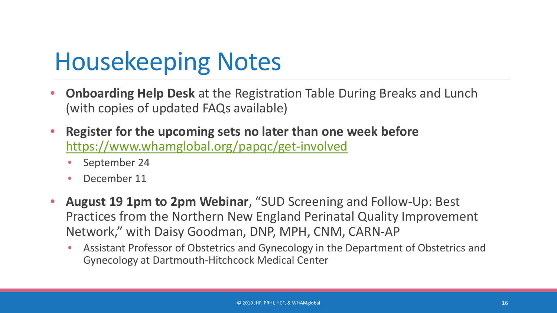#### Housekeeping Notes

- **Onboarding Help Desk** at the Registration Table During Breaks and Lunch (with copies of updated FAQs available)
- **Register for the upcoming sets no later than one week before** <https://www.whamglobal.org/papqc/get-involved>
	- September 24
	- December 11
- **August 19 1pm to 2pm Webinar**, "SUD Screening and Follow-Up: Best Practices from the Northern New England Perinatal Quality Improvement Network," with Daisy Goodman, DNP, MPH, CNM, CARN-AP
	- Assistant Professor of Obstetrics and Gynecology in the Department of Obstetrics and Gynecology at Dartmouth-Hitchcock Medical Center